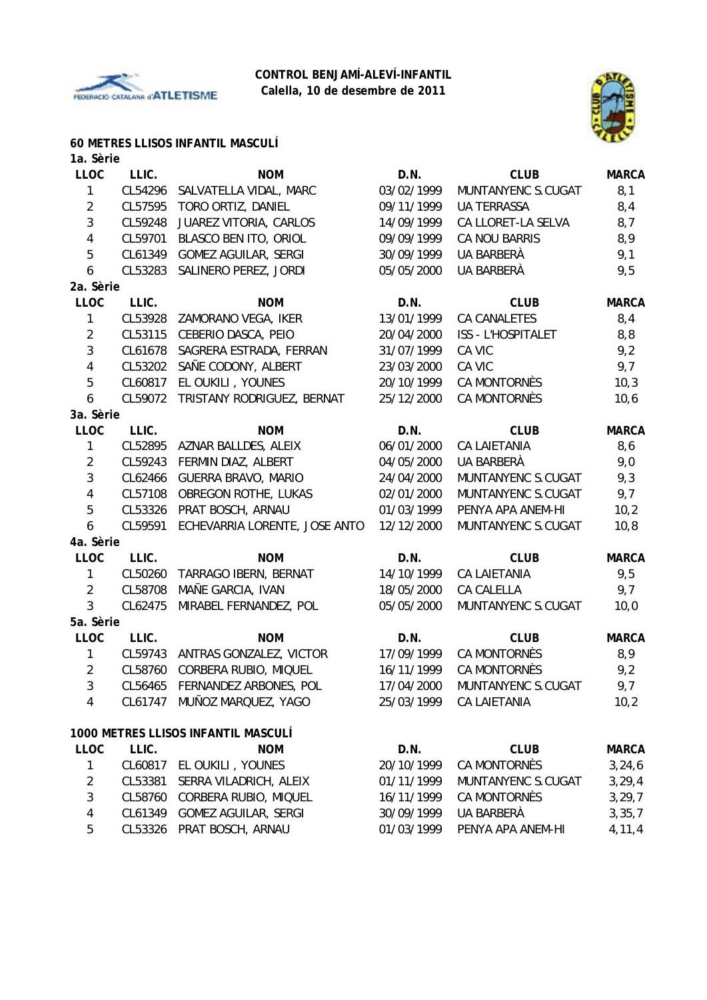



### **60 METRES LLISOS INFANTIL MASCULÍ**

| 1a. Sèrie      |         |                                     |            |                               |              |
|----------------|---------|-------------------------------------|------------|-------------------------------|--------------|
| <b>LLOC</b>    | LLIC.   | <b>NOM</b>                          | D.N.       | <b>CLUB</b>                   | <b>MARCA</b> |
| 1              | CL54296 | SALVATELLA VIDAL, MARC              | 03/02/1999 | MUNTANYENC S.CUGAT            | 8,1          |
| $\overline{2}$ | CL57595 | TORO ORTIZ, DANIEL                  | 09/11/1999 | <b>UA TERRASSA</b>            | 8,4          |
| 3              | CL59248 | JUAREZ VITORIA, CARLOS              | 14/09/1999 | CA LLORET-LA SELVA            | 8,7          |
| 4              | CL59701 | BLASCO BEN ITO, ORIOL               | 09/09/1999 | CA NOU BARRIS                 | 8,9          |
| 5              | CL61349 | <b>GOMEZ AGUILAR, SERGI</b>         | 30/09/1999 | UA BARBERÀ                    | 9,1          |
| 6              | CL53283 | SALINERO PEREZ, JORDI               | 05/05/2000 | UA BARBERÀ                    | 9,5          |
| 2a. Sèrie      |         |                                     |            |                               |              |
| <b>LLOC</b>    | LLIC.   | <b>NOM</b>                          | D.N.       | <b>CLUB</b>                   | <b>MARCA</b> |
| 1              | CL53928 | ZAMORANO VEGA, IKER                 | 13/01/1999 | <b>CA CANALETES</b>           | 8,4          |
| $\overline{2}$ | CL53115 | CEBERIO DASCA, PEIO                 | 20/04/2000 | <b>ISS - L'HOSPITALET</b>     | 8,8          |
| 3              | CL61678 | SAGRERA ESTRADA, FERRAN             | 31/07/1999 | CA VIC                        | 9,2          |
| 4              | CL53202 | SAÑE CODONY, ALBERT                 | 23/03/2000 | CA VIC                        | 9,7          |
| 5              | CL60817 | EL OUKILI, YOUNES                   | 20/10/1999 | CA MONTORNÈS                  | 10,3         |
| 6              | CL59072 | TRISTANY RODRIGUEZ, BERNAT          | 25/12/2000 | CA MONTORNÈS                  | 10,6         |
| 3a. Sèrie      |         |                                     |            |                               |              |
| <b>LLOC</b>    | LLIC.   | <b>NOM</b>                          | D.N.       | <b>CLUB</b>                   | <b>MARCA</b> |
| $\mathbf{1}$   | CL52895 | AZNAR BALLDES, ALEIX                | 06/01/2000 | <b>CA LAIETANIA</b>           | 8,6          |
| $\overline{2}$ | CL59243 | FERMIN DIAZ, ALBERT                 | 04/05/2000 | UA BARBERÀ                    | 9,0          |
| 3              | CL62466 | GUERRA BRAVO, MARIO                 | 24/04/2000 | MUNTANYENC S.CUGAT            | 9,3          |
| 4              | CL57108 | OBREGON ROTHE, LUKAS                | 02/01/2000 | MUNTANYENC S.CUGAT            | 9,7          |
| 5              | CL53326 | PRAT BOSCH, ARNAU                   | 01/03/1999 | PENYA APA ANEM-HI             | 10,2         |
| 6              | CL59591 | ECHEVARRIA LORENTE, JOSE ANTO       | 12/12/2000 | MUNTANYENC S.CUGAT            | 10, 8        |
| 4a. Sèrie      |         |                                     |            |                               |              |
| <b>LLOC</b>    | LLIC.   | <b>NOM</b>                          | D.N.       | <b>CLUB</b>                   | <b>MARCA</b> |
| $\mathbf{1}$   | CL50260 | TARRAGO IBERN, BERNAT               | 14/10/1999 | <b>CA LAIETANIA</b>           | 9,5          |
| $\overline{2}$ | CL58708 | MAÑE GARCIA, IVAN                   | 18/05/2000 | CA CALELLA                    | 9,7          |
| 3              | CL62475 | MIRABEL FERNANDEZ, POL              | 05/05/2000 | MUNTANYENC S.CUGAT            | 10,0         |
| 5a. Sèrie      |         |                                     |            |                               |              |
| <b>LLOC</b>    | LLIC.   | <b>NOM</b>                          | D.N.       | <b>CLUB</b>                   | <b>MARCA</b> |
| 1              | CL59743 | ANTRAS GONZALEZ, VICTOR             | 17/09/1999 | CA MONTORNÈS                  | 8,9          |
| $\overline{2}$ | CL58760 | CORBERA RUBIO, MIQUEL               | 16/11/1999 | CA MONTORNÈS                  | 9,2          |
| 3              |         | CL56465 FERNANDEZ ARBONES, POL      |            | 17/04/2000 MUNTANYENC S.CUGAT | 9,7          |
| 4              |         | CL61747 MUÑOZ MARQUEZ, YAGO         | 25/03/1999 | CA LAIETANIA                  | 10,2         |
|                |         | 1000 METRES LLISOS INFANTIL MASCULÍ |            |                               |              |
| <b>LLOC</b>    | LLIC.   | <b>NOM</b>                          | D.N.       | <b>CLUB</b>                   | <b>MARCA</b> |
| $\mathbf{1}$   |         | CL60817 EL OUKILI, YOUNES           | 20/10/1999 | CA MONTORNÈS                  | 3, 24, 6     |
| $\overline{c}$ | CL53381 | SERRA VILADRICH, ALEIX              | 01/11/1999 | MUNTANYENC S.CUGAT            | 3, 29, 4     |
| 3              | CL58760 | CORBERA RUBIO, MIQUEL               | 16/11/1999 | <b>CA MONTORNÈS</b>           | 3, 29, 7     |
| 4              | CL61349 | GOMEZ AGUILAR, SERGI                | 30/09/1999 | UA BARBERÀ                    | 3, 35, 7     |
| 5              |         | CL53326 PRAT BOSCH, ARNAU           | 01/03/1999 | PENYA APA ANEM-HI             | 4, 11, 4     |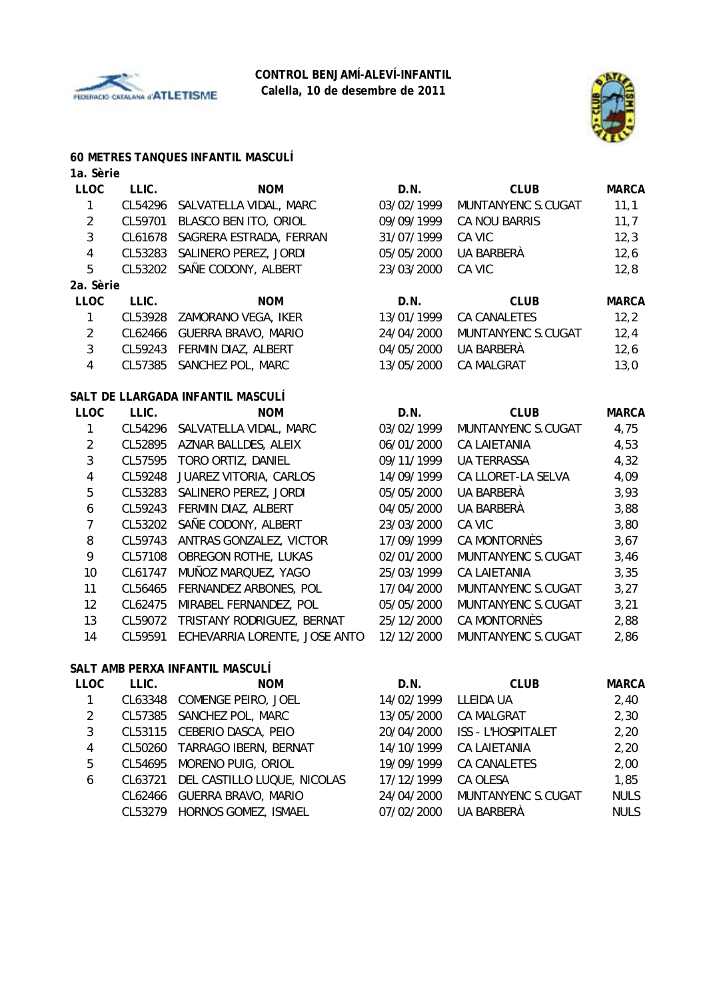



#### **60 METRES TANQUES INFANTIL MASCULÍ**

| 1a. Sèrie               |         |                                   |            |                     |              |
|-------------------------|---------|-----------------------------------|------------|---------------------|--------------|
| <b>LLOC</b>             | LLIC.   | <b>NOM</b>                        | D.N.       | <b>CLUB</b>         | <b>MARCA</b> |
| $\mathbf{1}$            | CL54296 | SALVATELLA VIDAL, MARC            | 03/02/1999 | MUNTANYENC S.CUGAT  | 11,1         |
| $\overline{2}$          | CL59701 | BLASCO BEN ITO, ORIOL             | 09/09/1999 | CA NOU BARRIS       | 11,7         |
| 3                       | CL61678 | SAGRERA ESTRADA, FERRAN           | 31/07/1999 | CA VIC              | 12,3         |
| $\overline{4}$          | CL53283 | SALINERO PEREZ, JORDI             | 05/05/2000 | UA BARBERÀ          | 12,6         |
| 5                       | CL53202 | SAÑE CODONY, ALBERT               | 23/03/2000 | CA VIC              | 12,8         |
| 2a. Sèrie               |         |                                   |            |                     |              |
| <b>LLOC</b>             | LLIC.   | <b>NOM</b>                        | D.N.       | <b>CLUB</b>         | <b>MARCA</b> |
| 1                       | CL53928 | ZAMORANO VEGA, IKER               | 13/01/1999 | <b>CA CANALETES</b> | 12,2         |
| $\overline{2}$          | CL62466 | GUERRA BRAVO, MARIO               | 24/04/2000 | MUNTANYENC S.CUGAT  | 12,4         |
| 3                       | CL59243 | FERMIN DIAZ, ALBERT               | 04/05/2000 | UA BARBERÀ          | 12,6         |
| $\overline{4}$          | CL57385 | SANCHEZ POL, MARC                 | 13/05/2000 | <b>CA MALGRAT</b>   | 13,0         |
|                         |         | SALT DE LLARGADA INFANTIL MASCULÍ |            |                     |              |
| <b>LLOC</b>             | LLIC.   | <b>NOM</b>                        | D.N.       | <b>CLUB</b>         | <b>MARCA</b> |
| $\mathbf{1}$            | CL54296 | SALVATELLA VIDAL, MARC            | 03/02/1999 | MUNTANYENC S.CUGAT  | 4,75         |
| $\overline{2}$          | CL52895 | AZNAR BALLDES, ALEIX              | 06/01/2000 | <b>CA LAIETANIA</b> | 4,53         |
| $\mathfrak{Z}$          | CL57595 | TORO ORTIZ, DANIEL                | 09/11/1999 | <b>UA TERRASSA</b>  | 4,32         |
| $\overline{\mathbf{4}}$ | CL59248 | JUAREZ VITORIA, CARLOS            | 14/09/1999 | CA LLORET-LA SELVA  | 4,09         |
| 5                       | CL53283 | SALINERO PEREZ, JORDI             | 05/05/2000 | UA BARBERÀ          | 3,93         |
| 6                       | CL59243 | FERMIN DIAZ, ALBERT               | 04/05/2000 | UA BARBERÀ          | 3,88         |
| $\overline{7}$          | CL53202 | SAÑE CODONY, ALBERT               | 23/03/2000 | CA VIC              | 3,80         |
| 8                       | CL59743 | ANTRAS GONZALEZ, VICTOR           | 17/09/1999 | CA MONTORNÈS        | 3,67         |
| 9                       | CL57108 | OBREGON ROTHE, LUKAS              | 02/01/2000 | MUNTANYENC S.CUGAT  | 3,46         |
| 10                      | CL61747 | MUÑOZ MARQUEZ, YAGO               | 25/03/1999 | <b>CA LAIETANIA</b> | 3,35         |
| 11                      | CL56465 | FERNANDEZ ARBONES, POL            | 17/04/2000 | MUNTANYENC S.CUGAT  | 3,27         |
| 12                      | CL62475 | MIRABEL FERNANDEZ, POL            | 05/05/2000 | MUNTANYENC S.CUGAT  | 3,21         |
| 13                      | CL59072 | TRISTANY RODRIGUEZ, BERNAT        | 25/12/2000 | CA MONTORNÈS        | 2,88         |
| 14                      | CL59591 | ECHEVARRIA LORENTE, JOSE ANTO     | 12/12/2000 | MUNTANYENC S.CUGAT  | 2,86         |
|                         |         | SALT AMB PERXA INFANTIL MASCULI   |            |                     |              |

| <b>LLOC</b> | LLIC.   | <b>NOM</b>                  | D.N.       | <b>CLUB</b>               | <b>MARCA</b> |
|-------------|---------|-----------------------------|------------|---------------------------|--------------|
|             | CL63348 | COMENGE PEIRO, JOEL         | 14/02/1999 | LLEIDA UA                 | 2,40         |
| 2           |         | CL57385 SANCHEZ POL, MARC   | 13/05/2000 | <b>CA MALGRAT</b>         | 2,30         |
| 3           |         | CL53115 CEBERIO DASCA, PEIO | 20/04/2000 | <b>ISS - L'HOSPITALET</b> | 2,20         |
| 4           | CL50260 | TARRAGO IBERN, BERNAT       | 14/10/1999 | <b>CA LAIETANIA</b>       | 2,20         |
| 5           | CL54695 | MORENO PUIG, ORIOL          | 19/09/1999 | CA CANALETES              | 2,00         |
| 6           | CL63721 | DEL CASTILLO LUQUE, NICOLAS | 17/12/1999 | CA OLESA                  | 1,85         |
|             | CL62466 | <b>GUERRA BRAVO, MARIO</b>  | 24/04/2000 | MUNTANYENC S.CUGAT        | <b>NULS</b>  |
|             | CL53279 | HORNOS GOMEZ, ISMAEL        | 07/02/2000 | <b>UA BARBERÀ</b>         | <b>NULS</b>  |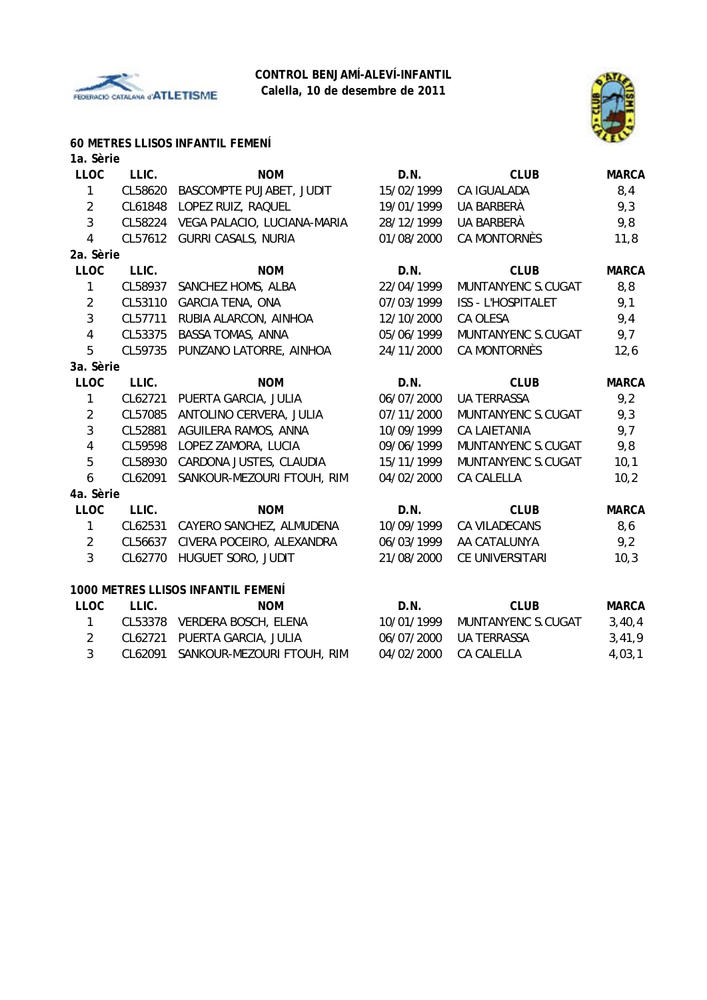



# **60 METRES LLISOS INFANTIL FEMENÍ**

| 1a. Sèrie      |         |                                    |            |                     |              |
|----------------|---------|------------------------------------|------------|---------------------|--------------|
| <b>LLOC</b>    | LLIC.   | <b>NOM</b>                         | D.N.       | <b>CLUB</b>         | <b>MARCA</b> |
| $\mathbf{1}$   | CL58620 | BASCOMPTE PUJABET, JUDIT           | 15/02/1999 | CA IGUALADA         | 8,4          |
| $\overline{2}$ | CL61848 | LOPEZ RUIZ, RAQUEL                 | 19/01/1999 | UA BARBERÀ          | 9,3          |
| 3              | CL58224 | VEGA PALACIO, LUCIANA-MARIA        | 28/12/1999 | UA BARBERÀ          | 9,8          |
| 4              | CL57612 | <b>GURRI CASALS, NURIA</b>         | 01/08/2000 | <b>CA MONTORNÈS</b> | 11,8         |
| 2a. Sèrie      |         |                                    |            |                     |              |
| <b>LLOC</b>    | LLIC.   | <b>NOM</b>                         | D.N.       | <b>CLUB</b>         | <b>MARCA</b> |
| $\mathbf{1}$   | CL58937 | SANCHEZ HOMS, ALBA                 | 22/04/1999 | MUNTANYENC S.CUGAT  | 8,8          |
| $\overline{2}$ | CL53110 | <b>GARCIA TENA, ONA</b>            | 07/03/1999 | ISS - L'HOSPITALET  | 9,1          |
| 3              | CL57711 | RUBIA ALARCON, AINHOA              | 12/10/2000 | CA OLESA            | 9,4          |
| $\overline{4}$ | CL53375 | BASSA TOMAS, ANNA                  | 05/06/1999 | MUNTANYENC S.CUGAT  | 9,7          |
| 5              | CL59735 | PUNZANO LATORRE, AINHOA            | 24/11/2000 | <b>CA MONTORNÈS</b> | 12,6         |
| 3a. Sèrie      |         |                                    |            |                     |              |
| <b>LLOC</b>    | LLIC.   | <b>NOM</b>                         | D.N.       | <b>CLUB</b>         | <b>MARCA</b> |
| 1              | CL62721 | PUERTA GARCIA, JULIA               | 06/07/2000 | <b>UA TERRASSA</b>  | 9,2          |
| $\overline{2}$ | CL57085 | ANTOLINO CERVERA, JULIA            | 07/11/2000 | MUNTANYENC S.CUGAT  | 9,3          |
| $\mathbf{3}$   | CL52881 | AGUILERA RAMOS, ANNA               | 10/09/1999 | <b>CA LAIETANIA</b> | 9,7          |
| $\overline{4}$ | CL59598 | LOPEZ ZAMORA, LUCIA                | 09/06/1999 | MUNTANYENC S.CUGAT  | 9,8          |
| 5              | CL58930 | CARDONA JUSTES, CLAUDIA            | 15/11/1999 | MUNTANYENC S.CUGAT  | 10,1         |
| 6              | CL62091 | SANKOUR-MEZOURI FTOUH, RIM         | 04/02/2000 | <b>CA CALELLA</b>   | 10,2         |
| 4a. Sèrie      |         |                                    |            |                     |              |
| <b>LLOC</b>    | LLIC.   | <b>NOM</b>                         | D.N.       | <b>CLUB</b>         | <b>MARCA</b> |
| $\mathbf{1}$   | CL62531 | CAYERO SANCHEZ, ALMUDENA           | 10/09/1999 | CA VILADECANS       | 8,6          |
| $\overline{2}$ | CL56637 | CIVERA POCEIRO, ALEXANDRA          | 06/03/1999 | AA CATALUNYA        | 9,2          |
| 3              | CL62770 | HUGUET SORO, JUDIT                 | 21/08/2000 | CE UNIVERSITARI     | 10,3         |
|                |         | 1000 METRES LLISOS INFANTIL FEMENÍ |            |                     |              |
| <b>LLOC</b>    | LLIC.   | <b>NOM</b>                         | D.N.       | <b>CLUB</b>         | <b>MARCA</b> |
| $\mathbf{1}$   | CL53378 | VERDERA BOSCH, ELENA               | 10/01/1999 | MUNTANYENC S.CUGAT  | 3,40,4       |
| $\overline{2}$ | CL62721 | PUERTA GARCIA, JULIA               | 06/07/2000 | <b>UA TERRASSA</b>  | 3,41,9       |
| 3              | CL62091 | SANKOUR-MEZOURI FTOUH, RIM         | 04/02/2000 | CA CALELLA          | 4,03,1       |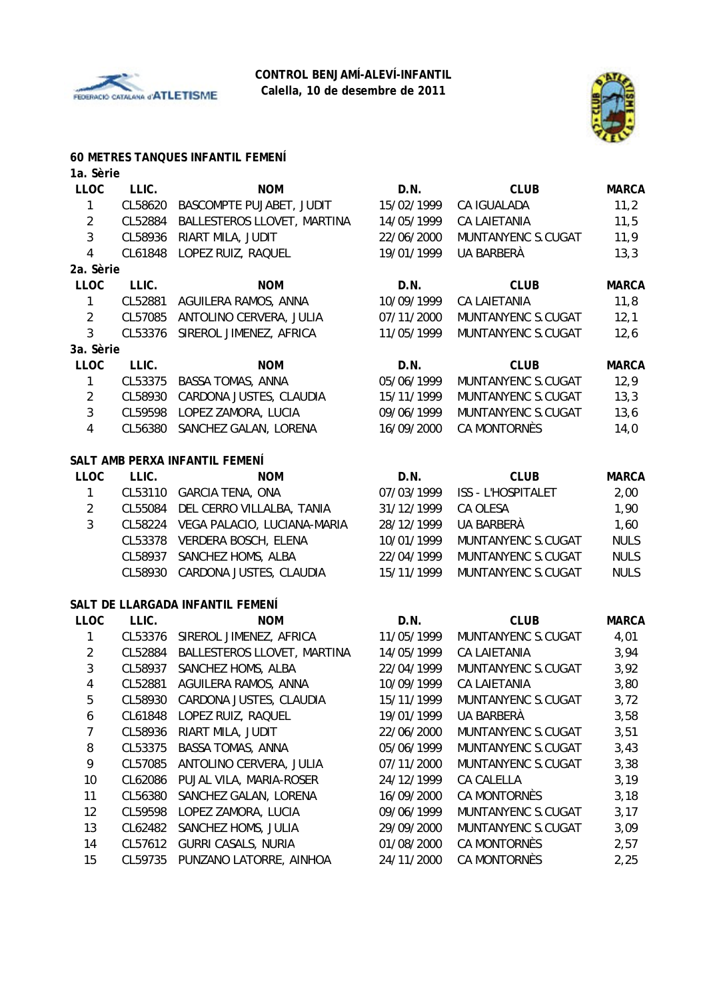



#### **60 METRES TANQUES INFANTIL FEMENÍ**

| 1a. Sèrie      |         |                                  |            |                     |              |
|----------------|---------|----------------------------------|------------|---------------------|--------------|
| <b>LLOC</b>    | LLIC.   | <b>NOM</b>                       | D.N.       | <b>CLUB</b>         | <b>MARCA</b> |
| $\mathbf{1}$   | CL58620 | BASCOMPTE PUJABET, JUDIT         | 15/02/1999 | CA IGUALADA         | 11,2         |
| $\overline{2}$ | CL52884 | BALLESTEROS LLOVET, MARTINA      | 14/05/1999 | <b>CA LAIETANIA</b> | 11,5         |
| 3              | CL58936 | RIART MILA, JUDIT                | 22/06/2000 | MUNTANYENC S.CUGAT  | 11,9         |
| 4              | CL61848 | LOPEZ RUIZ, RAQUEL               | 19/01/1999 | UA BARBERÀ          | 13,3         |
| 2a. Sèrie      |         |                                  |            |                     |              |
| <b>LLOC</b>    | LLIC.   | <b>NOM</b>                       | D.N.       | <b>CLUB</b>         | <b>MARCA</b> |
| $\mathbf{1}$   | CL52881 | AGUILERA RAMOS, ANNA             | 10/09/1999 | <b>CA LAIETANIA</b> | 11,8         |
| $\overline{2}$ | CL57085 | ANTOLINO CERVERA, JULIA          | 07/11/2000 | MUNTANYENC S.CUGAT  | 12,1         |
| 3              | CL53376 | SIREROL JIMENEZ, AFRICA          | 11/05/1999 | MUNTANYENC S.CUGAT  | 12,6         |
| 3a. Sèrie      |         |                                  |            |                     |              |
| <b>LLOC</b>    | LLIC.   | <b>NOM</b>                       | D.N.       | <b>CLUB</b>         | <b>MARCA</b> |
| $\mathbf{1}$   | CL53375 | <b>BASSA TOMAS, ANNA</b>         | 05/06/1999 | MUNTANYENC S.CUGAT  | 12,9         |
| $\overline{2}$ | CL58930 | CARDONA JUSTES, CLAUDIA          | 15/11/1999 | MUNTANYENC S.CUGAT  | 13,3         |
| 3              | CL59598 | LOPEZ ZAMORA, LUCIA              | 09/06/1999 | MUNTANYENC S.CUGAT  | 13,6         |
| $\overline{4}$ | CL56380 | SANCHEZ GALAN, LORENA            | 16/09/2000 | <b>CA MONTORNÈS</b> | 14,0         |
|                |         |                                  |            |                     |              |
|                |         | SALT AMB PERXA INFANTIL FEMENÍ   |            |                     |              |
| <b>LLOC</b>    | LLIC.   | <b>NOM</b>                       | D.N.       | <b>CLUB</b>         | <b>MARCA</b> |
| $\mathbf{1}$   |         | CL53110 GARCIA TENA, ONA         | 07/03/1999 | ISS - L'HOSPITALET  | 2,00         |
| $\overline{2}$ | CL55084 | DEL CERRO VILLALBA, TANIA        | 31/12/1999 | CA OLESA            | 1,90         |
| 3              | CL58224 | VEGA PALACIO, LUCIANA-MARIA      | 28/12/1999 | UA BARBERÀ          | 1,60         |
|                | CL53378 | VERDERA BOSCH, ELENA             | 10/01/1999 | MUNTANYENC S.CUGAT  | <b>NULS</b>  |
|                | CL58937 | SANCHEZ HOMS, ALBA               | 22/04/1999 | MUNTANYENC S.CUGAT  | <b>NULS</b>  |
|                | CL58930 | CARDONA JUSTES, CLAUDIA          | 15/11/1999 | MUNTANYENC S.CUGAT  | <b>NULS</b>  |
|                |         | SALT DE LLARGADA INFANTIL FEMENÍ |            |                     |              |
| <b>LLOC</b>    | LLIC.   | <b>NOM</b>                       | D.N.       | <b>CLUB</b>         | <b>MARCA</b> |
| 1              | CL53376 | SIREROL JIMENEZ, AFRICA          | 11/05/1999 | MUNTANYENC S.CUGAT  | 4,01         |
| $\overline{2}$ | CL52884 | BALLESTEROS LLOVET, MARTINA      | 14/05/1999 | <b>CA LAIETANIA</b> | 3,94         |
| 3              | CL58937 | SANCHEZ HOMS, ALBA               | 22/04/1999 | MUNTANYENC S.CUGAT  | 3,92         |
| 4              | CL52881 | AGUILERA RAMOS, ANNA             | 10/09/1999 | <b>CA LAIETANIA</b> | 3,80         |
| 5              |         | CL58930 CARDONA JUSTES, CLAUDIA  | 15/11/1999 | MUNTANYENC S.CUGAT  | 3,72         |
| 6              | CL61848 | LOPEZ RUIZ, RAQUEL               | 19/01/1999 | UA BARBERÀ          | 3,58         |
| 7              | CL58936 | RIART MILA, JUDIT                | 22/06/2000 | MUNTANYENC S.CUGAT  | 3,51         |
| 8              | CL53375 | <b>BASSA TOMAS, ANNA</b>         | 05/06/1999 | MUNTANYENC S.CUGAT  | 3,43         |
| 9              | CL57085 | ANTOLINO CERVERA, JULIA          | 07/11/2000 | MUNTANYENC S.CUGAT  | 3,38         |
| 10             | CL62086 | PUJAL VILA, MARIA-ROSER          | 24/12/1999 | CA CALELLA          | 3,19         |
| 11             | CL56380 | SANCHEZ GALAN, LORENA            | 16/09/2000 | <b>CA MONTORNÈS</b> | 3,18         |
| 12             | CL59598 | LOPEZ ZAMORA, LUCIA              | 09/06/1999 | MUNTANYENC S.CUGAT  | 3,17         |
| 13             | CL62482 | SANCHEZ HOMS, JULIA              | 29/09/2000 | MUNTANYENC S.CUGAT  | 3,09         |
| 14             | CL57612 | <b>GURRI CASALS, NURIA</b>       | 01/08/2000 | CA MONTORNÈS        | 2,57         |
| 15             | CL59735 | PUNZANO LATORRE, AINHOA          | 24/11/2000 | CA MONTORNÈS        | 2,25         |
|                |         |                                  |            |                     |              |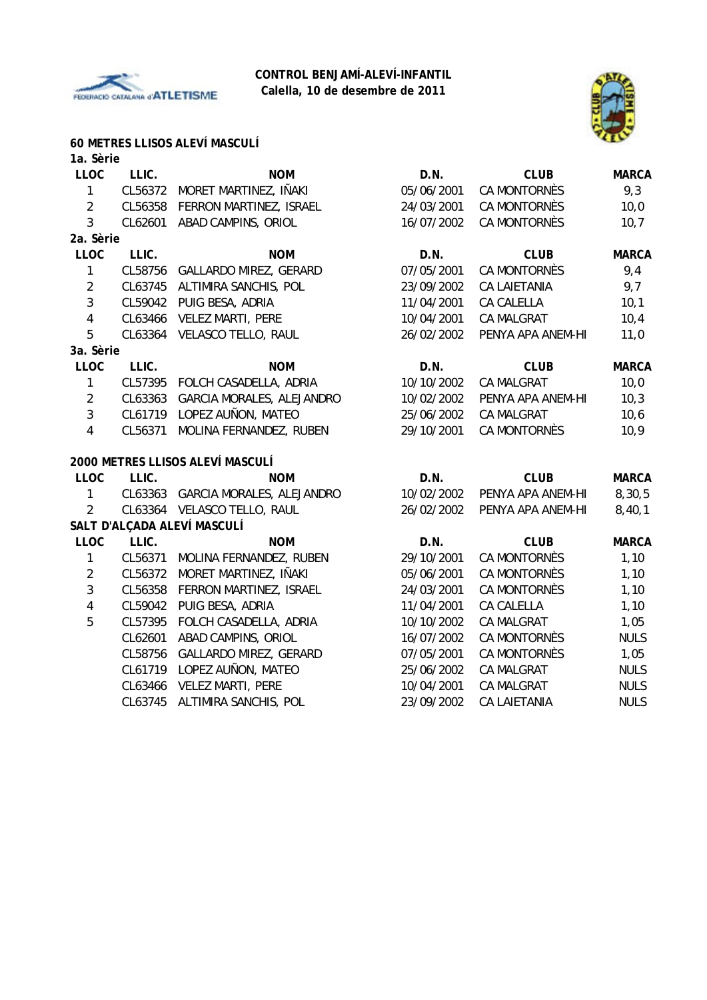



# **60 METRES LLISOS ALEVÍ MASCULÍ**

| 1a. Sèrie      |         |                                   |            |                     |              |
|----------------|---------|-----------------------------------|------------|---------------------|--------------|
| <b>LLOC</b>    | LLIC.   | <b>NOM</b>                        | D.N.       | <b>CLUB</b>         | <b>MARCA</b> |
| $\mathbf{1}$   | CL56372 | MORET MARTINEZ, IÑAKI             | 05/06/2001 | <b>CA MONTORNÈS</b> | 9,3          |
| $\sqrt{2}$     | CL56358 | FERRON MARTINEZ, ISRAEL           | 24/03/2001 | CA MONTORNÈS        | 10,0         |
| 3              | CL62601 | ABAD CAMPINS, ORIOL               | 16/07/2002 | CA MONTORNÈS        | 10,7         |
| 2a. Sèrie      |         |                                   |            |                     |              |
| <b>LLOC</b>    | LLIC.   | <b>NOM</b>                        | D.N.       | <b>CLUB</b>         | <b>MARCA</b> |
| $\mathbf{1}$   |         | CL58756 GALLARDO MIREZ, GERARD    | 07/05/2001 | <b>CA MONTORNÈS</b> | 9,4          |
| $\sqrt{2}$     | CL63745 | ALTIMIRA SANCHIS, POL             | 23/09/2002 | <b>CA LAIETANIA</b> | 9,7          |
| $\mathfrak{Z}$ | CL59042 | PUIG BESA, ADRIA                  | 11/04/2001 | CA CALELLA          | 10,1         |
| $\overline{4}$ | CL63466 | <b>VELEZ MARTI, PERE</b>          | 10/04/2001 | CA MALGRAT          | 10,4         |
| 5              | CL63364 | VELASCO TELLO, RAUL               | 26/02/2002 | PENYA APA ANEM-HI   | 11,0         |
| 3a. Sèrie      |         |                                   |            |                     |              |
| <b>LLOC</b>    | LLIC.   | <b>NOM</b>                        | D.N.       | <b>CLUB</b>         | <b>MARCA</b> |
| $\mathbf{1}$   | CL57395 | FOLCH CASADELLA, ADRIA            | 10/10/2002 | CA MALGRAT          | 10,0         |
| $\overline{2}$ | CL63363 | GARCIA MORALES, ALEJANDRO         | 10/02/2002 | PENYA APA ANEM-HI   | 10,3         |
| $\mathfrak{Z}$ | CL61719 | LOPEZ AUÑON, MATEO                | 25/06/2002 | <b>CA MALGRAT</b>   | 10, 6        |
| $\overline{4}$ | CL56371 | MOLINA FERNANDEZ, RUBEN           | 29/10/2001 | CA MONTORNÈS        | 10,9         |
|                |         | 2000 METRES LLISOS ALEVÍ MASCULÍ  |            |                     |              |
| <b>LLOC</b>    | LLIC.   | <b>NOM</b>                        | D.N.       | <b>CLUB</b>         | <b>MARCA</b> |
| $\mathbf{1}$   |         | CL63363 GARCIA MORALES, ALEJANDRO | 10/02/2002 | PENYA APA ANEM-HI   | 8,30,5       |
| $\overline{2}$ |         | CL63364 VELASCO TELLO, RAUL       | 26/02/2002 | PENYA APA ANEM-HI   | 8,40,1       |
|                |         | SALT D'ALÇADA ALEVÍ MASCULÍ       |            |                     |              |
| <b>LLOC</b>    | LLIC.   | <b>NOM</b>                        | D.N.       | <b>CLUB</b>         | <b>MARCA</b> |
| $\mathbf{1}$   | CL56371 | MOLINA FERNANDEZ, RUBEN           | 29/10/2001 | CA MONTORNÈS        | 1,10         |
| $\overline{2}$ | CL56372 | MORET MARTINEZ, IÑAKI             | 05/06/2001 | <b>CA MONTORNÈS</b> | 1,10         |
| $\mathfrak{Z}$ | CL56358 | FERRON MARTINEZ, ISRAEL           | 24/03/2001 | CA MONTORNÈS        | 1,10         |
| $\overline{4}$ | CL59042 | PUIG BESA, ADRIA                  | 11/04/2001 | CA CALELLA          | 1,10         |
| 5              | CL57395 | FOLCH CASADELLA, ADRIA            | 10/10/2002 | <b>CA MALGRAT</b>   | 1,05         |
|                | CL62601 | ABAD CAMPINS, ORIOL               | 16/07/2002 | CA MONTORNÈS        | <b>NULS</b>  |
|                | CL58756 | GALLARDO MIREZ, GERARD            | 07/05/2001 | CA MONTORNÈS        | 1,05         |
|                | CL61719 | LOPEZ AUÑON, MATEO                | 25/06/2002 | CA MALGRAT          | <b>NULS</b>  |
|                | CL63466 | <b>VELEZ MARTI, PERE</b>          | 10/04/2001 | CA MALGRAT          | <b>NULS</b>  |
|                | CL63745 | ALTIMIRA SANCHIS, POL             | 23/09/2002 | <b>CA LAIETANIA</b> | <b>NULS</b>  |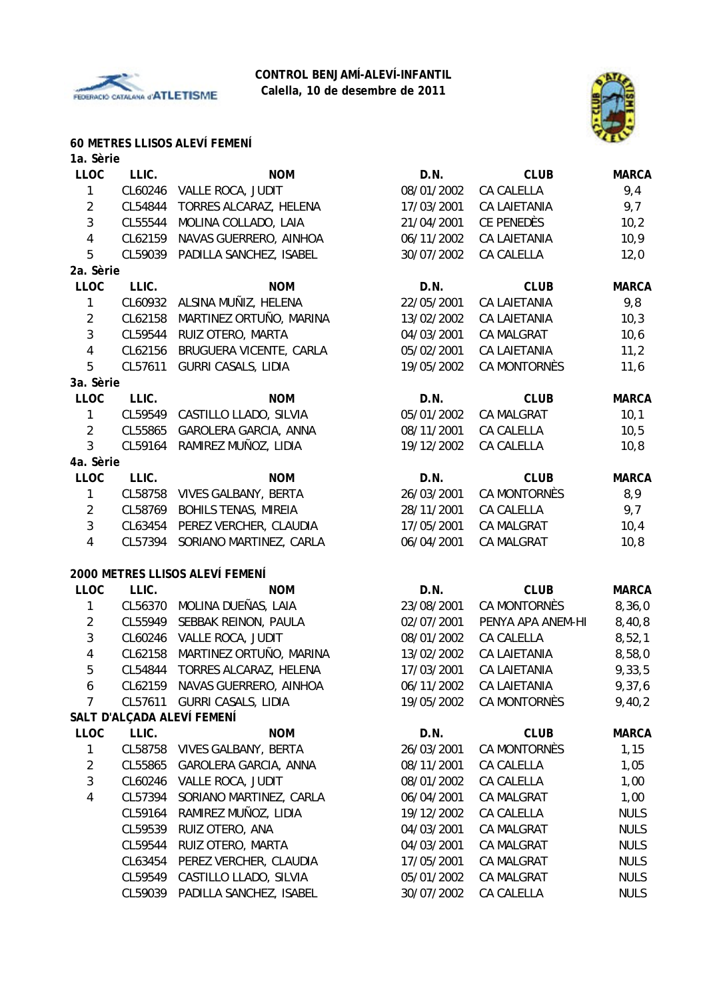



#### **60 METRES LLISOS ALEVÍ FEMENÍ**

| 1a. Sèrie               |         |                                 |            |                     |              |
|-------------------------|---------|---------------------------------|------------|---------------------|--------------|
| <b>LLOC</b>             | LLIC.   | <b>NOM</b>                      | D.N.       | <b>CLUB</b>         | <b>MARCA</b> |
| 1                       | CL60246 | VALLE ROCA, JUDIT               | 08/01/2002 | CA CALELLA          | 9,4          |
| $\overline{2}$          | CL54844 | TORRES ALCARAZ, HELENA          | 17/03/2001 | CA LAIETANIA        | 9,7          |
| $\mathfrak{Z}$          | CL55544 | MOLINA COLLADO, LAIA            | 21/04/2001 | CE PENEDÈS          | 10,2         |
| $\overline{\mathbf{4}}$ | CL62159 | NAVAS GUERRERO, AINHOA          | 06/11/2002 | <b>CA LAIETANIA</b> | 10,9         |
| 5                       | CL59039 | PADILLA SANCHEZ, ISABEL         | 30/07/2002 | CA CALELLA          | 12,0         |
| 2a. Sèrie               |         |                                 |            |                     |              |
| LLOC                    | LLIC.   | <b>NOM</b>                      | D.N.       | <b>CLUB</b>         | <b>MARCA</b> |
| 1                       | CL60932 | ALSINA MUÑIZ, HELENA            | 22/05/2001 | <b>CA LAIETANIA</b> | 9,8          |
| $\overline{2}$          | CL62158 | MARTINEZ ORTUÑO, MARINA         | 13/02/2002 | <b>CA LAIETANIA</b> | 10,3         |
| 3                       | CL59544 | RUIZ OTERO, MARTA               | 04/03/2001 | CA MALGRAT          | 10,6         |
| $\overline{\mathbf{4}}$ | CL62156 | BRUGUERA VICENTE, CARLA         | 05/02/2001 | <b>CA LAIETANIA</b> | 11,2         |
| 5                       | CL57611 | <b>GURRI CASALS, LIDIA</b>      | 19/05/2002 | CA MONTORNÈS        | 11,6         |
| 3a. Sèrie               |         |                                 |            |                     |              |
| <b>LLOC</b>             | LLIC.   | <b>NOM</b>                      | D.N.       | <b>CLUB</b>         | <b>MARCA</b> |
| 1                       | CL59549 | CASTILLO LLADO, SILVIA          | 05/01/2002 | <b>CA MALGRAT</b>   | 10,1         |
| $\overline{2}$          | CL55865 | GAROLERA GARCIA, ANNA           | 08/11/2001 | CA CALELLA          | 10, 5        |
| 3                       | CL59164 | RAMIREZ MUÑOZ, LIDIA            | 19/12/2002 | CA CALELLA          | 10,8         |
| 4a. Sèrie               |         |                                 |            |                     |              |
| LLOC                    | LLIC.   | <b>NOM</b>                      | D.N.       | <b>CLUB</b>         | <b>MARCA</b> |
| 1                       | CL58758 | <b>VIVES GALBANY, BERTA</b>     | 26/03/2001 | CA MONTORNÈS        | 8,9          |
| $\overline{2}$          | CL58769 | <b>BOHILS TENAS, MIREIA</b>     | 28/11/2001 | CA CALELLA          | 9,7          |
| 3                       | CL63454 | PEREZ VERCHER, CLAUDIA          | 17/05/2001 | CA MALGRAT          | 10,4         |
| 4                       | CL57394 | SORIANO MARTINEZ, CARLA         | 06/04/2001 | CA MALGRAT          | 10, 8        |
|                         |         |                                 |            |                     |              |
|                         |         | 2000 METRES LLISOS ALEVÍ FEMENÍ |            |                     |              |
| <b>LLOC</b>             | LLIC.   | <b>NOM</b>                      | D.N.       | <b>CLUB</b>         | <b>MARCA</b> |
| 1                       | CL56370 | MOLINA DUEÑAS, LAIA             | 23/08/2001 | CA MONTORNÈS        | 8,36,0       |
| $\overline{2}$          | CL55949 | SEBBAK REINON, PAULA            | 02/07/2001 | PENYA APA ANEM-HI   | 8,40,8       |
| $\sqrt{3}$              | CL60246 | VALLE ROCA, JUDIT               | 08/01/2002 | CA CALELLA          | 8,52,1       |
| 4                       | CL62158 | MARTINEZ ORTUÑO, MARINA         | 13/02/2002 | CA LAIETANIA        | 8,58,0       |
| 5                       | CL54844 | TORRES ALCARAZ, HELENA          | 17/03/2001 | <b>CA LAIETANIA</b> | 9,33,5       |
| 6                       |         | CL62159 NAVAS GUERRERO, AINHOA  | 06/11/2002 | CA LAIETANIA        | 9,37,6       |
| 7                       |         | CL57611 GURRI CASALS, LIDIA     | 19/05/2002 | CA MONTORNÈS        | 9,40,2       |
|                         |         | SALT D'ALÇADA ALEVÍ FEMENÍ      |            |                     |              |
| <b>LLOC</b>             | LLIC.   | <b>NOM</b>                      | D.N.       | <b>CLUB</b>         | <b>MARCA</b> |
| 1                       | CL58758 | <b>VIVES GALBANY, BERTA</b>     | 26/03/2001 | CA MONTORNÈS        | 1,15         |
| $\overline{2}$          | CL55865 | GAROLERA GARCIA, ANNA           | 08/11/2001 | CA CALELLA          | 1,05         |
| 3                       | CL60246 | VALLE ROCA, JUDIT               | 08/01/2002 | CA CALELLA          | 1,00         |
| 4                       | CL57394 | SORIANO MARTINEZ, CARLA         | 06/04/2001 | CA MALGRAT          | 1,00         |
|                         | CL59164 | RAMIREZ MUÑOZ, LIDIA            | 19/12/2002 | CA CALELLA          | <b>NULS</b>  |
|                         | CL59539 | RUIZ OTERO, ANA                 | 04/03/2001 | <b>CA MALGRAT</b>   | <b>NULS</b>  |
|                         | CL59544 | RUIZ OTERO, MARTA               | 04/03/2001 | CA MALGRAT          | <b>NULS</b>  |
|                         | CL63454 | PEREZ VERCHER, CLAUDIA          | 17/05/2001 | CA MALGRAT          | <b>NULS</b>  |
|                         | CL59549 | CASTILLO LLADO, SILVIA          | 05/01/2002 | CA MALGRAT          | <b>NULS</b>  |
|                         | CL59039 | PADILLA SANCHEZ, ISABEL         | 30/07/2002 | CA CALELLA          | <b>NULS</b>  |
|                         |         |                                 |            |                     |              |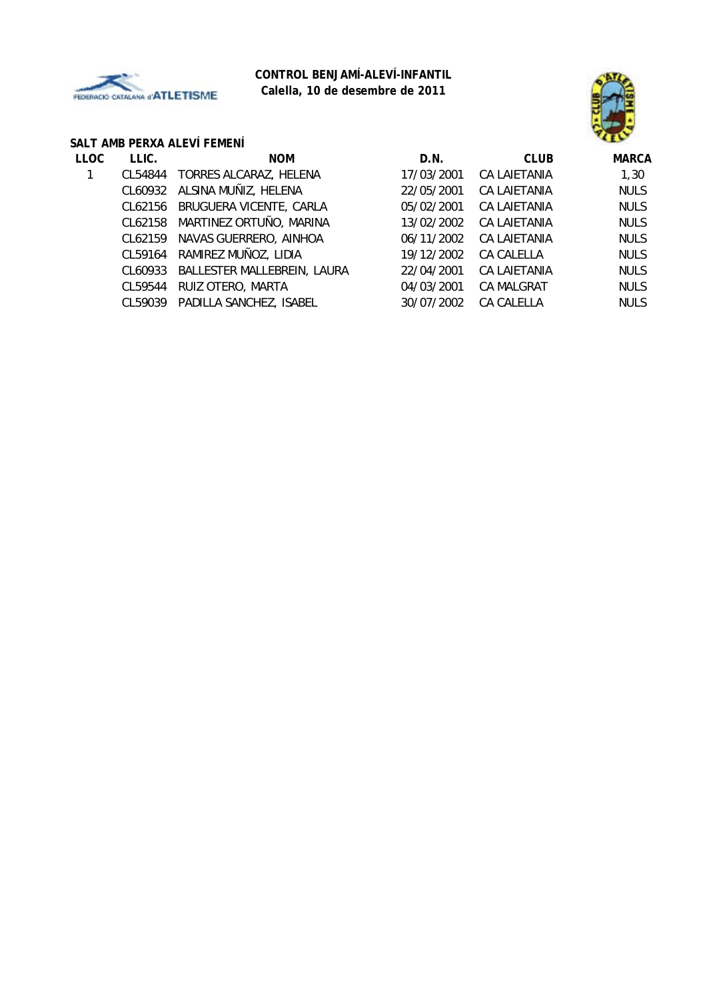

## **CONTROL BENJAMÍ-ALEVÍ-INFANTIL Calella, 10 de desembre de 2011**



## **SALT AMB PERXA ALEVÍ FEMENÍ**

| <b>LLOC</b> | LLIC.   | <b>NOM</b>                   | D.N.       | <b>CLUB</b>       | <b>MARCA</b> |
|-------------|---------|------------------------------|------------|-------------------|--------------|
|             | CL54844 | TORRES ALCARAZ, HELENA       | 17/03/2001 | CA LAIETANIA      | 1,30         |
|             |         | CL60932 ALSINA MUÑIZ, HELENA | 22/05/2001 | CA LAIETANIA      | <b>NULS</b>  |
|             | CL62156 | BRUGUERA VICENTE, CARLA      | 05/02/2001 | CA LAIETANIA      | <b>NULS</b>  |
|             | CL62158 | MARTINEZ ORTUÑO, MARINA      | 13/02/2002 | CA LAIETANIA      | <b>NULS</b>  |
|             | CL62159 | NAVAS GUERRERO, AINHOA       | 06/11/2002 | CA LAIETANIA      | <b>NULS</b>  |
|             | CL59164 | RAMIREZ MUÑOZ, LIDIA         | 19/12/2002 | CA CALELLA        | <b>NULS</b>  |
|             | CL60933 | BALLESTER MALLEBREIN, LAURA  | 22/04/2001 | CA LAIETANIA      | <b>NULS</b>  |
|             | CL59544 | RUIZ OTERO, MARTA            | 04/03/2001 | <b>CA MALGRAT</b> | <b>NULS</b>  |
|             | CL59039 | PADILLA SANCHEZ, ISABEL      | 30/07/2002 | <b>CA CALELLA</b> | <b>NULS</b>  |
|             |         |                              |            |                   |              |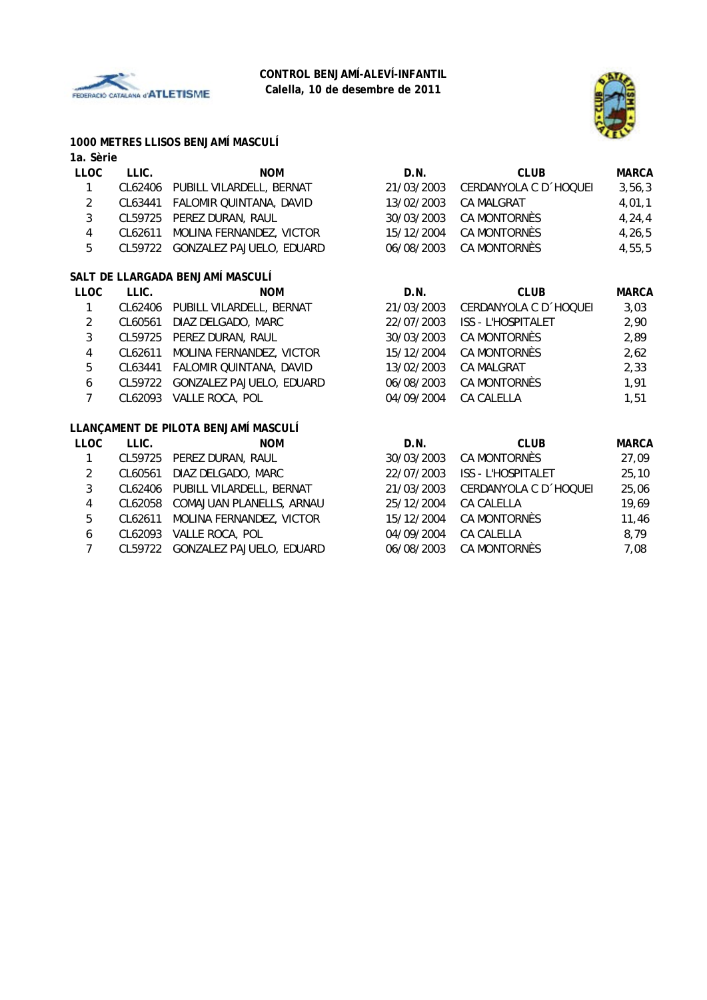



## **1000 METRES LLISOS BENJAMÍ MASCULÍ**

| 1a. Sèrie               |         |                                      |            |                           |              |
|-------------------------|---------|--------------------------------------|------------|---------------------------|--------------|
| <b>LLOC</b>             | LLIC.   | <b>NOM</b>                           | D.N.       | <b>CLUB</b>               | <b>MARCA</b> |
| 1                       |         | CL62406 PUBILL VILARDELL, BERNAT     | 21/03/2003 | CERDANYOLA C D 'HOQUEI    | 3,56,3       |
| $\overline{c}$          | CL63441 | FALOMIR QUINTANA, DAVID              | 13/02/2003 | <b>CA MALGRAT</b>         | 4,01,1       |
| $\mathbf{3}$            | CL59725 | PEREZ DURAN, RAUL                    | 30/03/2003 | CA MONTORNÈS              | 4, 24, 4     |
| $\overline{\mathbf{4}}$ | CL62611 | MOLINA FERNANDEZ, VICTOR             | 15/12/2004 | CA MONTORNÈS              | 4, 26, 5     |
| 5                       |         | CL59722 GONZALEZ PAJUELO, EDUARD     | 06/08/2003 | CA MONTORNÈS              | 4,55,5       |
|                         |         | SALT DE LLARGADA BENJAMÍ MASCULÍ     |            |                           |              |
| <b>LLOC</b>             | LLIC.   | <b>NOM</b>                           | D.N.       | <b>CLUB</b>               | <b>MARCA</b> |
| 1                       |         | CL62406 PUBILL VILARDELL, BERNAT     | 21/03/2003 | CERDANYOLA C D 'HOQUEI    | 3,03         |
| $\overline{2}$          | CL60561 | DIAZ DELGADO, MARC                   | 22/07/2003 | <b>ISS - L'HOSPITALET</b> | 2,90         |
| $\sqrt{3}$              | CL59725 | PEREZ DURAN, RAUL                    | 30/03/2003 | CA MONTORNÈS              | 2,89         |
| $\overline{\mathbf{4}}$ | CL62611 | MOLINA FERNANDEZ, VICTOR             | 15/12/2004 | CA MONTORNÈS              | 2,62         |
| 5                       | CL63441 | FALOMIR QUINTANA, DAVID              | 13/02/2003 | CA MALGRAT                | 2,33         |
| $\boldsymbol{6}$        | CL59722 | GONZALEZ PAJUELO, EDUARD             | 06/08/2003 | CA MONTORNÈS              | 1,91         |
| $\overline{7}$          | CL62093 | VALLE ROCA, POL                      | 04/09/2004 | CA CALELLA                | 1,51         |
|                         |         | LLANÇAMENT DE PILOTA BENJAMÍ MASCULÍ |            |                           |              |
| <b>LLOC</b>             | LLIC.   | <b>NOM</b>                           | D.N.       | <b>CLUB</b>               | <b>MARCA</b> |
| 1                       | CL59725 | PEREZ DURAN, RAUL                    | 30/03/2003 | CA MONTORNÈS              | 27,09        |
| $\overline{2}$          | CL60561 | DIAZ DELGADO, MARC                   | 22/07/2003 | <b>ISS - L'HOSPITALET</b> | 25,10        |
| $\mathbf{3}$            | CL62406 | PUBILL VILARDELL, BERNAT             | 21/03/2003 | CERDANYOLA C D 'HOQUEI    | 25,06        |
| $\overline{\mathbf{4}}$ |         | CL62058 COMAJUAN PLANELLS, ARNAU     | 25/12/2004 | CA CALELLA                | 19,69        |
| 5                       | CL62611 | MOLINA FERNANDEZ, VICTOR             | 15/12/2004 | CA MONTORNÈS              | 11,46        |
| 6                       | CL62093 | VALLE ROCA, POL                      | 04/09/2004 | CA CALELLA                | 8,79         |

- 
- 7 CL59722 GONZALEZ PAJUELO, EDUARD 06/08/2003 CA MONTORNÈS 7,08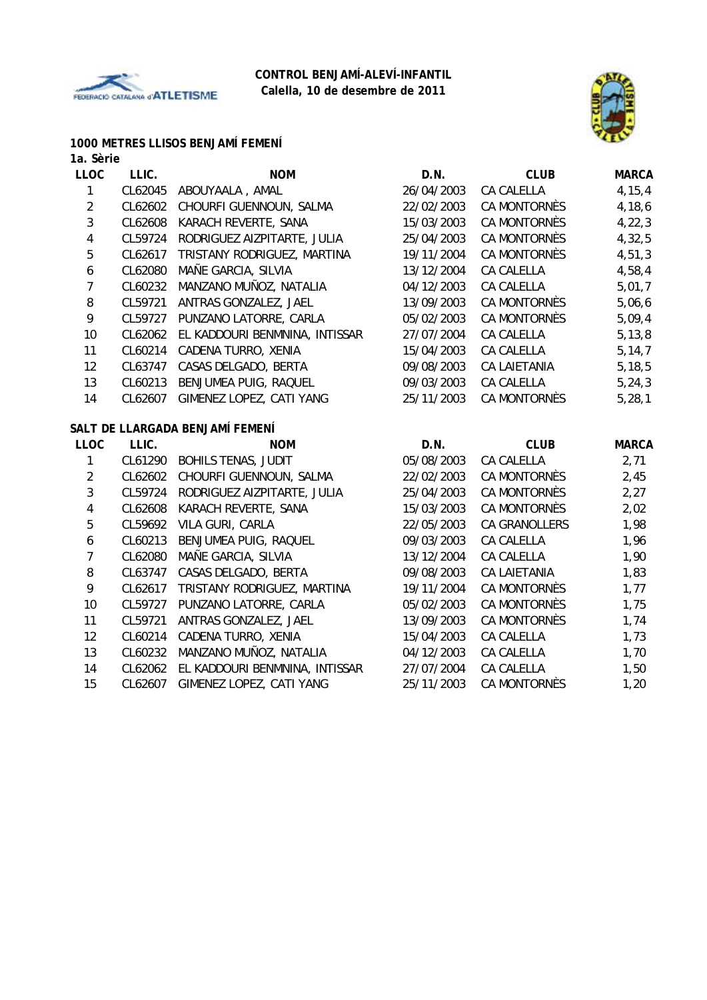



# **1000 METRES LLISOS BENJAMÍ FEMENÍ**

#### **1a. Sèrie**

| <b>LLOC</b>    | LLIC.   | <b>NOM</b>                      | D.N.       | <b>CLUB</b>         | <b>MARCA</b> |
|----------------|---------|---------------------------------|------------|---------------------|--------------|
| 1              | CL62045 | ABOUYAALA, AMAL                 | 26/04/2003 | CA CALELLA          | 4, 15, 4     |
| $\overline{2}$ | CL62602 | CHOURFI GUENNOUN, SALMA         | 22/02/2003 | <b>CA MONTORNÈS</b> | 4,18,6       |
| 3              | CL62608 | KARACH REVERTE, SANA            | 15/03/2003 | CA MONTORNÈS        | 4, 22, 3     |
| 4              | CL59724 | RODRIGUEZ AIZPITARTE, JULIA     | 25/04/2003 | CA MONTORNÈS        | 4,32,5       |
| 5              | CL62617 | TRISTANY RODRIGUEZ, MARTINA     | 19/11/2004 | CA MONTORNÈS        | 4,51,3       |
| 6              | CL62080 | MAÑE GARCIA, SILVIA             | 13/12/2004 | <b>CA CALELLA</b>   | 4,58,4       |
| $\overline{7}$ | CL60232 | MANZANO MUÑOZ, NATALIA          | 04/12/2003 | <b>CA CALELLA</b>   | 5,01,7       |
| 8              | CL59721 | ANTRAS GONZALEZ, JAEL           | 13/09/2003 | CA MONTORNÈS        | 5,06,6       |
| 9              | CL59727 | PUNZANO LATORRE, CARLA          | 05/02/2003 | CA MONTORNÈS        | 5,09,4       |
| 10             | CL62062 | EL KADDOURI BENMNINA, INTISSAR  | 27/07/2004 | <b>CA CALELLA</b>   | 5, 13, 8     |
| 11             | CL60214 | CADENA TURRO, XENIA             | 15/04/2003 | CA CALELLA          | 5, 14, 7     |
| 12             | CL63747 | CASAS DELGADO, BERTA            | 09/08/2003 | <b>CA LAIETANIA</b> | 5, 18, 5     |
| 13             | CL60213 | BENJUMEA PUIG, RAQUEL           | 09/03/2003 | <b>CA CALELLA</b>   | 5, 24, 3     |
| 14             | CL62607 | GIMENEZ LOPEZ, CATI YANG        | 25/11/2003 | CA MONTORNÈS        | 5, 28, 1     |
|                |         | SALT DE LLARGADA BENJAMÍ FEMENÍ |            |                     |              |
| <b>LLOC</b>    | LLIC.   | <b>NOM</b>                      | D.N.       | <b>CLUB</b>         | <b>MARCA</b> |
| 1              | CL61290 | <b>BOHILS TENAS, JUDIT</b>      | 05/08/2003 | <b>CA CALELLA</b>   | 2,71         |
| $\overline{2}$ | CL62602 | CHOURFI GUENNOUN, SALMA         | 22/02/2003 | CA MONTORNÈS        | 2,45         |
| 3              | CL59724 | RODRIGUEZ AIZPITARTE, JULIA     | 25/04/2003 | CA MONTORNÈS        | 2,27         |
| 4              | CL62608 | KARACH REVERTE, SANA            | 15/03/2003 | CA MONTORNÈS        | 2,02         |
| 5              | CL59692 | VILA GURI, CARLA                | 22/05/2003 | CA GRANOLLERS       | 1,98         |
| 6              | CL60213 | BENJUMEA PUIG, RAQUEL           | 09/03/2003 | CA CALELLA          | 1,96         |
| $\overline{7}$ | CL62080 | MAÑE GARCIA, SILVIA             | 13/12/2004 | CA CALELLA          | 1,90         |
| 8              | CL63747 | CASAS DELGADO, BERTA            | 09/08/2003 | CA LAIETANIA        | 1,83         |
| 9              | CL62617 | TRISTANY RODRIGUEZ, MARTINA     | 19/11/2004 | CA MONTORNÈS        | 1,77         |
| 10             | CL59727 | PUNZANO LATORRE, CARLA          | 05/02/2003 | CA MONTORNÈS        | 1,75         |
| 11             | CL59721 | ANTRAS GONZALEZ, JAEL           | 13/09/2003 | CA MONTORNÈS        | 1,74         |
| 12             | CL60214 | CADENA TURRO, XENIA             | 15/04/2003 | CA CALELLA          | 1,73         |
| 13             | CL60232 | MANZANO MUÑOZ, NATALIA          | 04/12/2003 | CA CALELLA          | 1,70         |
| 14             | CL62062 | EL KADDOURI BENMNINA, INTISSAR  | 27/07/2004 | CA CALELLA          | 1,50         |
| 15             | CL62607 | GIMENEZ LOPEZ, CATI YANG        | 25/11/2003 | <b>CA MONTORNÈS</b> | 1,20         |